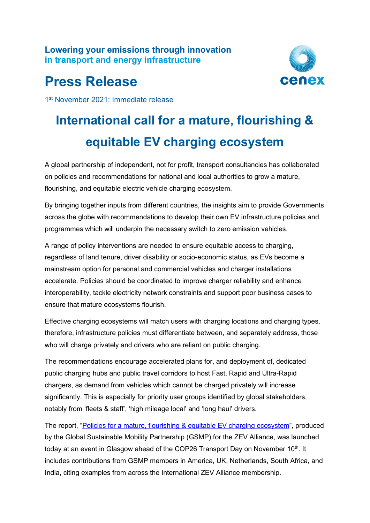**Lowering your emissions through innovation in transport and energy infrastructure**

## **Press Release**



1st November 2021: Immediate release

# **International call for a mature, flourishing & equitable EV charging ecosystem**

A global partnership of independent, not for profit, transport consultancies has collaborated on policies and recommendations for national and local authorities to grow a mature, flourishing, and equitable electric vehicle charging ecosystem.

By bringing together inputs from different countries, the insights aim to provide Governments across the globe with recommendations to develop their own EV infrastructure policies and programmes which will underpin the necessary switch to zero emission vehicles.

A range of policy interventions are needed to ensure equitable access to charging, regardless of land tenure, driver disability or socio-economic status, as EVs become a mainstream option for personal and commercial vehicles and charger installations accelerate. Policies should be coordinated to improve charger reliability and enhance interoperability, tackle electricity network constraints and support poor business cases to ensure that mature ecosystems flourish.

Effective charging ecosystems will match users with charging locations and charging types, therefore, infrastructure policies must differentiate between, and separately address, those who will charge privately and drivers who are reliant on public charging.

The recommendations encourage accelerated plans for, and deployment of, dedicated public charging hubs and public travel corridors to host Fast, Rapid and Ultra-Rapid chargers, as demand from vehicles which cannot be charged privately will increase significantly. This is especially for priority user groups identified by global stakeholders, notably from 'fleets & staff', 'high mileage local' and 'long haul' drivers.

The report, ["Policies for a mature, flourishing & equitable EV charging ecosystem"](https://gsmp.world/wp-content/uploads/2021/11/211101-ZEV-Alliance-Policy-Advice_branded_Final.pdf), produced by the Global Sustainable Mobility Partnership (GSMP) for the ZEV Alliance, was launched today at an event in Glasgow ahead of the COP26 Transport Day on November 10<sup>th</sup>. It includes contributions from GSMP members in America, UK, Netherlands, South Africa, and India, citing examples from across the International ZEV Alliance membership.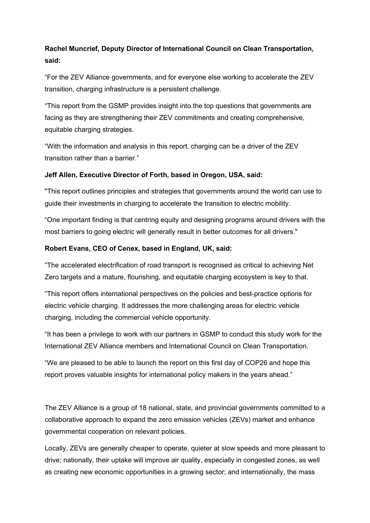### **Rachel Muncrief, Deputy Director of International Council on Clean Transportation, said:**

"For the ZEV Alliance governments, and for everyone else working to accelerate the ZEV transition, charging infrastructure is a persistent challenge.

"This report from the GSMP provides insight into the top questions that governments are facing as they are strengthening their ZEV commitments and creating comprehensive, equitable charging strategies.

"With the information and analysis in this report, charging can be a driver of the ZEV transition rather than a barrier."

#### **Jeff Allen, Executive Director of Forth, based in Oregon, USA, said:**

"This report outlines principles and strategies that governments around the world can use to guide their investments in charging to accelerate the transition to electric mobility.

"One important finding is that centring equity and designing programs around drivers with the most barriers to going electric will generally result in better outcomes for all drivers."

#### **Robert Evans, CEO of Cenex, based in England, UK, said:**

"The accelerated electrification of road transport is recognised as critical to achieving Net Zero targets and a mature, flourishing, and equitable charging ecosystem is key to that.

"This report offers international perspectives on the policies and best-practice options for electric vehicle charging. It addresses the more challenging areas for electric vehicle charging, including the commercial vehicle opportunity.

"It has been a privilege to work with our partners in GSMP to conduct this study work for the International ZEV Alliance members and International Council on Clean Transportation.

"We are pleased to be able to launch the report on this first day of COP26 and hope this report proves valuable insights for international policy makers in the years ahead."

The ZEV Alliance is a group of 18 national, state, and provincial governments committed to a collaborative approach to expand the zero emission vehicles (ZEVs) market and enhance governmental cooperation on relevant policies.

Locally, ZEVs are generally cheaper to operate, quieter at slow speeds and more pleasant to drive; nationally, their uptake will improve air quality, especially in congested zones, as well as creating new economic opportunities in a growing sector; and internationally, the mass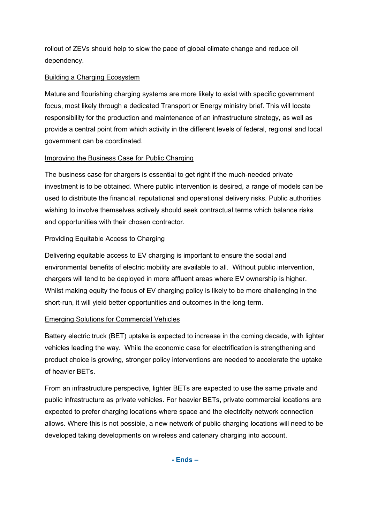rollout of ZEVs should help to slow the pace of global climate change and reduce oil dependency.

#### Building a Charging Ecosystem

Mature and flourishing charging systems are more likely to exist with specific government focus, most likely through a dedicated Transport or Energy ministry brief. This will locate responsibility for the production and maintenance of an infrastructure strategy, as well as provide a central point from which activity in the different levels of federal, regional and local government can be coordinated.

#### Improving the Business Case for Public Charging

The business case for chargers is essential to get right if the much-needed private investment is to be obtained. Where public intervention is desired, a range of models can be used to distribute the financial, reputational and operational delivery risks. Public authorities wishing to involve themselves actively should seek contractual terms which balance risks and opportunities with their chosen contractor.

#### Providing Equitable Access to Charging

Delivering equitable access to EV charging is important to ensure the social and environmental benefits of electric mobility are available to all. Without public intervention, chargers will tend to be deployed in more affluent areas where EV ownership is higher. Whilst making equity the focus of EV charging policy is likely to be more challenging in the short-run, it will yield better opportunities and outcomes in the long-term.

#### Emerging Solutions for Commercial Vehicles

Battery electric truck (BET) uptake is expected to increase in the coming decade, with lighter vehicles leading the way. While the economic case for electrification is strengthening and product choice is growing, stronger policy interventions are needed to accelerate the uptake of heavier BETs.

From an infrastructure perspective, lighter BETs are expected to use the same private and public infrastructure as private vehicles. For heavier BETs, private commercial locations are expected to prefer charging locations where space and the electricity network connection allows. Where this is not possible, a new network of public charging locations will need to be developed taking developments on wireless and catenary charging into account.

**- Ends –**